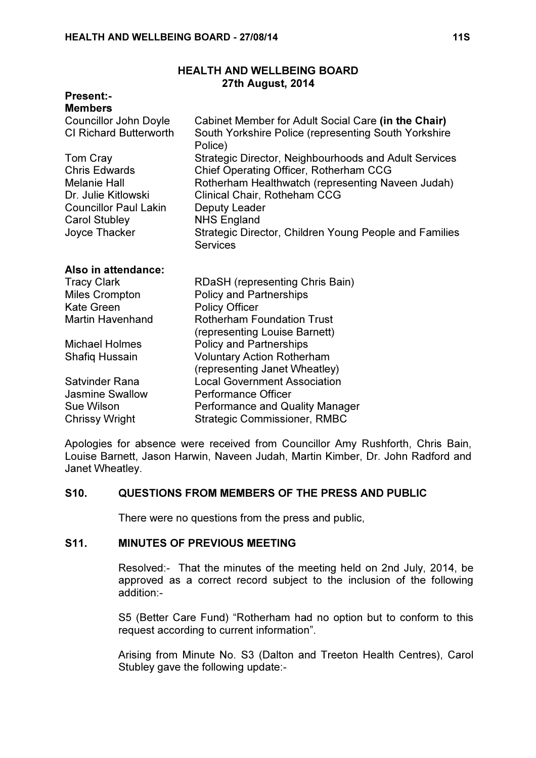## HEALTH AND WELLBEING BOARD 27th August, 2014

# Present:-

| <b>Members</b>                             |                                                                                   |
|--------------------------------------------|-----------------------------------------------------------------------------------|
| <b>Councillor John Doyle</b>               | Cabinet Member for Adult Social Care (in the Chair)                               |
| <b>CI Richard Butterworth</b>              | South Yorkshire Police (representing South Yorkshire<br>Police)                   |
| Tom Cray                                   | Strategic Director, Neighbourhoods and Adult Services                             |
| <b>Chris Edwards</b>                       | Chief Operating Officer, Rotherham CCG                                            |
| <b>Melanie Hall</b><br>Dr. Julie Kitlowski | Rotherham Healthwatch (representing Naveen Judah)<br>Clinical Chair, Rotheham CCG |
| <b>Councillor Paul Lakin</b>               | Deputy Leader                                                                     |
| <b>Carol Stubley</b>                       | <b>NHS England</b>                                                                |
| Joyce Thacker                              | Strategic Director, Children Young People and Families<br><b>Services</b>         |
| Also in attendance:                        |                                                                                   |
| <b>Tracy Clark</b>                         | RDaSH (representing Chris Bain)                                                   |
| <b>Miles Crompton</b>                      | <b>Policy and Partnerships</b>                                                    |
| <b>Kate Green</b>                          | <b>Policy Officer</b>                                                             |
| <b>Martin Havenhand</b>                    | <b>Rotherham Foundation Trust</b>                                                 |
|                                            | (representing Louise Barnett)                                                     |
| <b>Michael Holmes</b>                      | <b>Policy and Partnerships</b>                                                    |
| <b>Shafiq Hussain</b>                      | <b>Voluntary Action Rotherham</b>                                                 |
|                                            | (representing Janet Wheatley)                                                     |
| <b>Satvinder Rana</b>                      | <b>Local Government Association</b>                                               |
| <b>Jasmine Swallow</b>                     | <b>Performance Officer</b>                                                        |
| <b>Sue Wilson</b>                          | <b>Performance and Quality Manager</b>                                            |
| <b>Chrissy Wright</b>                      | <b>Strategic Commissioner, RMBC</b>                                               |

Apologies for absence were received from Councillor Amy Rushforth, Chris Bain, Louise Barnett, Jason Harwin, Naveen Judah, Martin Kimber, Dr. John Radford and Janet Wheatley.

## S10. QUESTIONS FROM MEMBERS OF THE PRESS AND PUBLIC

There were no questions from the press and public,

# S11. MINUTES OF PREVIOUS MEETING

 Resolved:- That the minutes of the meeting held on 2nd July, 2014, be approved as a correct record subject to the inclusion of the following addition:-

S5 (Better Care Fund) "Rotherham had no option but to conform to this request according to current information".

Arising from Minute No. S3 (Dalton and Treeton Health Centres), Carol Stubley gave the following update:-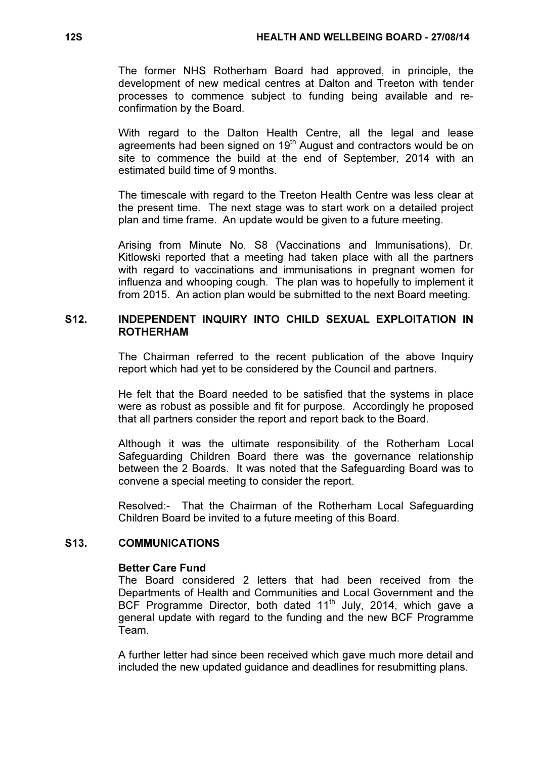The former NHS Rotherham Board had approved, in principle, the development of new medical centres at Dalton and Treeton with tender processes to commence subject to funding being available and reconfirmation by the Board.

With regard to the Dalton Health Centre, all the legal and lease agreements had been signed on 19<sup>th</sup> August and contractors would be on site to commence the build at the end of September, 2014 with an estimated build time of 9 months.

The timescale with regard to the Treeton Health Centre was less clear at the present time. The next stage was to start work on a detailed project plan and time frame. An update would be given to a future meeting.

Arising from Minute No. S8 (Vaccinations and Immunisations), Dr. Kitlowski reported that a meeting had taken place with all the partners with regard to vaccinations and immunisations in pregnant women for influenza and whooping cough. The plan was to hopefully to implement it from 2015. An action plan would be submitted to the next Board meeting.

## S12. INDEPENDENT INQUIRY INTO CHILD SEXUAL EXPLOITATION IN ROTHERHAM

 The Chairman referred to the recent publication of the above Inquiry report which had yet to be considered by the Council and partners.

He felt that the Board needed to be satisfied that the systems in place were as robust as possible and fit for purpose. Accordingly he proposed that all partners consider the report and report back to the Board.

Although it was the ultimate responsibility of the Rotherham Local Safeguarding Children Board there was the governance relationship between the 2 Boards. It was noted that the Safeguarding Board was to convene a special meeting to consider the report.

Resolved:- That the Chairman of the Rotherham Local Safeguarding Children Board be invited to a future meeting of this Board.

#### S13. COMMUNICATIONS

## Better Care Fund

The Board considered 2 letters that had been received from the Departments of Health and Communities and Local Government and the BCF Programme Director, both dated  $11<sup>th</sup>$  July, 2014, which gave a general update with regard to the funding and the new BCF Programme Team.

A further letter had since been received which gave much more detail and included the new updated guidance and deadlines for resubmitting plans.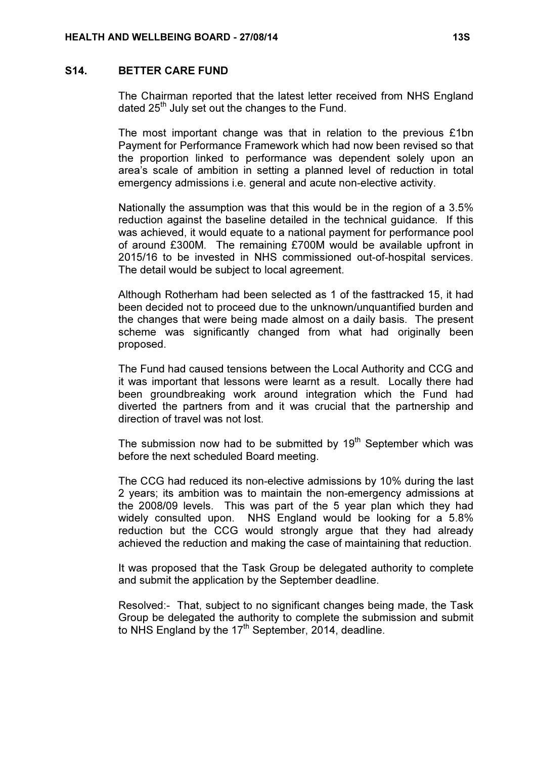#### S14. BETTER CARE FUND

 The Chairman reported that the latest letter received from NHS England dated  $25<sup>th</sup>$  July set out the changes to the Fund.

The most important change was that in relation to the previous £1bn Payment for Performance Framework which had now been revised so that the proportion linked to performance was dependent solely upon an area's scale of ambition in setting a planned level of reduction in total emergency admissions i.e. general and acute non-elective activity.

Nationally the assumption was that this would be in the region of a 3.5% reduction against the baseline detailed in the technical guidance. If this was achieved, it would equate to a national payment for performance pool of around £300M. The remaining £700M would be available upfront in 2015/16 to be invested in NHS commissioned out-of-hospital services. The detail would be subject to local agreement.

Although Rotherham had been selected as 1 of the fasttracked 15, it had been decided not to proceed due to the unknown/unquantified burden and the changes that were being made almost on a daily basis. The present scheme was significantly changed from what had originally been proposed.

The Fund had caused tensions between the Local Authority and CCG and it was important that lessons were learnt as a result. Locally there had been groundbreaking work around integration which the Fund had diverted the partners from and it was crucial that the partnership and direction of travel was not lost.

The submission now had to be submitted by  $19<sup>th</sup>$  September which was before the next scheduled Board meeting.

The CCG had reduced its non-elective admissions by 10% during the last 2 years; its ambition was to maintain the non-emergency admissions at the 2008/09 levels. This was part of the 5 year plan which they had widely consulted upon. NHS England would be looking for a 5.8% reduction but the CCG would strongly argue that they had already achieved the reduction and making the case of maintaining that reduction.

It was proposed that the Task Group be delegated authority to complete and submit the application by the September deadline.

Resolved:- That, subject to no significant changes being made, the Task Group be delegated the authority to complete the submission and submit to NHS England by the  $17<sup>th</sup>$  September, 2014, deadline.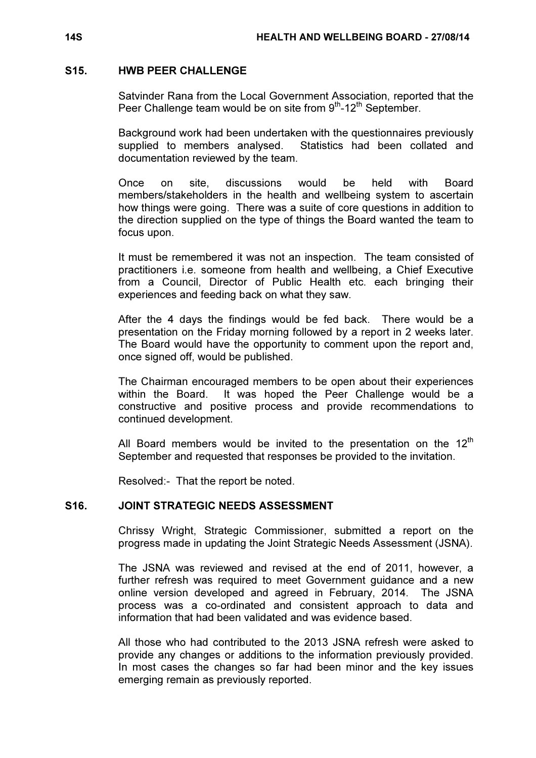### S15. HWB PEER CHALLENGE

 Satvinder Rana from the Local Government Association, reported that the Peer Challenge team would be on site from  $9<sup>th</sup>$ -12<sup>th</sup> September.

Background work had been undertaken with the questionnaires previously supplied to members analysed. Statistics had been collated and documentation reviewed by the team.

Once on site, discussions would be held with Board members/stakeholders in the health and wellbeing system to ascertain how things were going. There was a suite of core questions in addition to the direction supplied on the type of things the Board wanted the team to focus upon.

It must be remembered it was not an inspection. The team consisted of practitioners i.e. someone from health and wellbeing, a Chief Executive from a Council, Director of Public Health etc. each bringing their experiences and feeding back on what they saw.

After the 4 days the findings would be fed back. There would be a presentation on the Friday morning followed by a report in 2 weeks later. The Board would have the opportunity to comment upon the report and, once signed off, would be published.

The Chairman encouraged members to be open about their experiences within the Board. It was hoped the Peer Challenge would be a constructive and positive process and provide recommendations to continued development.

All Board members would be invited to the presentation on the 12<sup>th</sup> September and requested that responses be provided to the invitation.

Resolved:- That the report be noted.

# S16. JOINT STRATEGIC NEEDS ASSESSMENT

 Chrissy Wright, Strategic Commissioner, submitted a report on the progress made in updating the Joint Strategic Needs Assessment (JSNA).

The JSNA was reviewed and revised at the end of 2011, however, a further refresh was required to meet Government guidance and a new online version developed and agreed in February, 2014. The JSNA process was a co-ordinated and consistent approach to data and information that had been validated and was evidence based.

All those who had contributed to the 2013 JSNA refresh were asked to provide any changes or additions to the information previously provided. In most cases the changes so far had been minor and the key issues emerging remain as previously reported.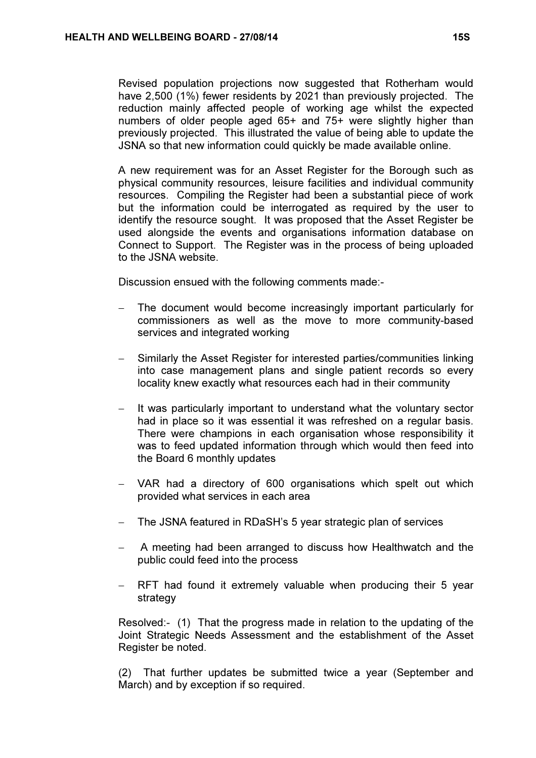Revised population projections now suggested that Rotherham would have 2,500 (1%) fewer residents by 2021 than previously projected. The reduction mainly affected people of working age whilst the expected numbers of older people aged 65+ and 75+ were slightly higher than previously projected. This illustrated the value of being able to update the JSNA so that new information could quickly be made available online.

A new requirement was for an Asset Register for the Borough such as physical community resources, leisure facilities and individual community resources. Compiling the Register had been a substantial piece of work but the information could be interrogated as required by the user to identify the resource sought. It was proposed that the Asset Register be used alongside the events and organisations information database on Connect to Support. The Register was in the process of being uploaded to the JSNA website.

Discussion ensued with the following comments made:-

- The document would become increasingly important particularly for commissioners as well as the move to more community-based services and integrated working
- Similarly the Asset Register for interested parties/communities linking into case management plans and single patient records so every locality knew exactly what resources each had in their community
- It was particularly important to understand what the voluntary sector had in place so it was essential it was refreshed on a regular basis. There were champions in each organisation whose responsibility it was to feed updated information through which would then feed into the Board 6 monthly updates
- − VAR had a directory of 600 organisations which spelt out which provided what services in each area
- − The JSNA featured in RDaSH's 5 year strategic plan of services
- − A meeting had been arranged to discuss how Healthwatch and the public could feed into the process
- RFT had found it extremely valuable when producing their 5 year strategy

Resolved:- (1) That the progress made in relation to the updating of the Joint Strategic Needs Assessment and the establishment of the Asset Register be noted.

(2) That further updates be submitted twice a year (September and March) and by exception if so required.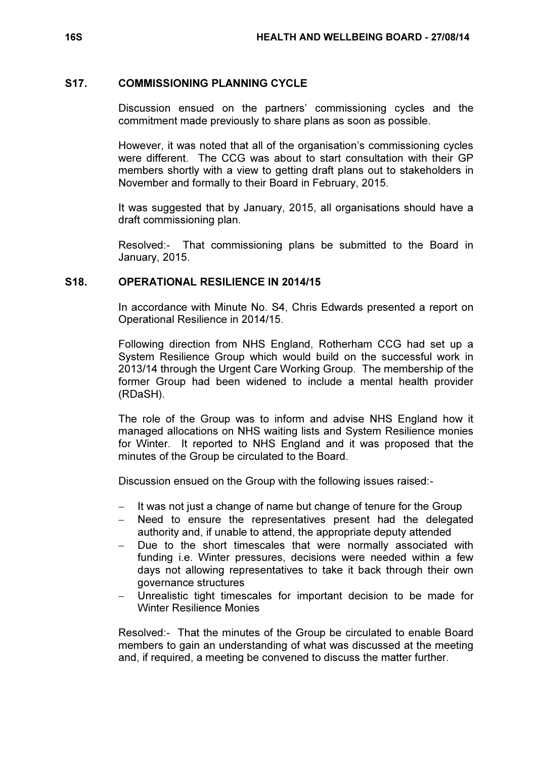### S17. COMMISSIONING PLANNING CYCLE

 Discussion ensued on the partners' commissioning cycles and the commitment made previously to share plans as soon as possible.

However, it was noted that all of the organisation's commissioning cycles were different. The CCG was about to start consultation with their GP members shortly with a view to getting draft plans out to stakeholders in November and formally to their Board in February, 2015.

It was suggested that by January, 2015, all organisations should have a draft commissioning plan.

Resolved:- That commissioning plans be submitted to the Board in January, 2015.

# S18. OPERATIONAL RESILIENCE IN 2014/15

 In accordance with Minute No. S4, Chris Edwards presented a report on Operational Resilience in 2014/15.

Following direction from NHS England, Rotherham CCG had set up a System Resilience Group which would build on the successful work in 2013/14 through the Urgent Care Working Group. The membership of the former Group had been widened to include a mental health provider (RDaSH).

The role of the Group was to inform and advise NHS England how it managed allocations on NHS waiting lists and System Resilience monies for Winter. It reported to NHS England and it was proposed that the minutes of the Group be circulated to the Board.

Discussion ensued on the Group with the following issues raised:-

- − It was not just a change of name but change of tenure for the Group
- − Need to ensure the representatives present had the delegated authority and, if unable to attend, the appropriate deputy attended
- Due to the short timescales that were normally associated with funding i.e. Winter pressures, decisions were needed within a few days not allowing representatives to take it back through their own governance structures
- Unrealistic tight timescales for important decision to be made for Winter Resilience Monies

Resolved:- That the minutes of the Group be circulated to enable Board members to gain an understanding of what was discussed at the meeting and, if required, a meeting be convened to discuss the matter further.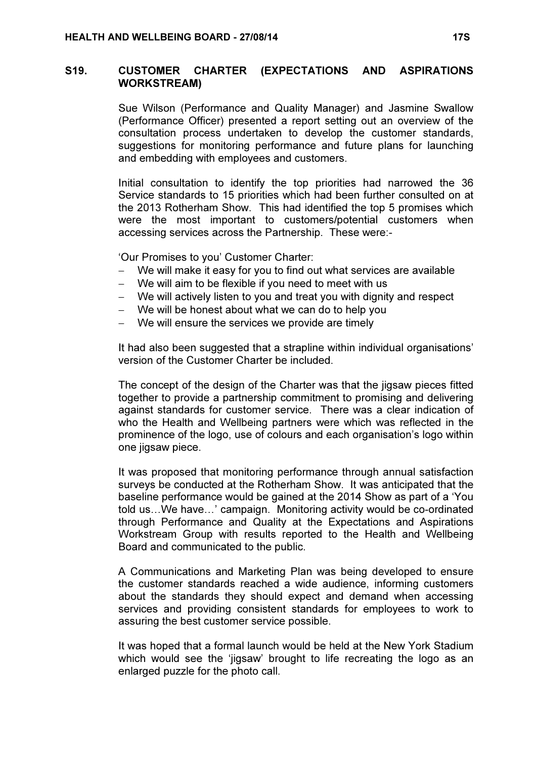## S19. CUSTOMER CHARTER (EXPECTATIONS AND ASPIRATIONS WORKSTREAM)

 Sue Wilson (Performance and Quality Manager) and Jasmine Swallow (Performance Officer) presented a report setting out an overview of the consultation process undertaken to develop the customer standards, suggestions for monitoring performance and future plans for launching and embedding with employees and customers.

Initial consultation to identify the top priorities had narrowed the 36 Service standards to 15 priorities which had been further consulted on at the 2013 Rotherham Show. This had identified the top 5 promises which were the most important to customers/potential customers when accessing services across the Partnership. These were:-

'Our Promises to you' Customer Charter:

- We will make it easy for you to find out what services are available
- We will aim to be flexible if you need to meet with us
- − We will actively listen to you and treat you with dignity and respect
- − We will be honest about what we can do to help you
- − We will ensure the services we provide are timely

It had also been suggested that a strapline within individual organisations' version of the Customer Charter be included.

The concept of the design of the Charter was that the jigsaw pieces fitted together to provide a partnership commitment to promising and delivering against standards for customer service. There was a clear indication of who the Health and Wellbeing partners were which was reflected in the prominence of the logo, use of colours and each organisation's logo within one jigsaw piece.

It was proposed that monitoring performance through annual satisfaction surveys be conducted at the Rotherham Show. It was anticipated that the baseline performance would be gained at the 2014 Show as part of a 'You told us…We have…' campaign. Monitoring activity would be co-ordinated through Performance and Quality at the Expectations and Aspirations Workstream Group with results reported to the Health and Wellbeing Board and communicated to the public.

A Communications and Marketing Plan was being developed to ensure the customer standards reached a wide audience, informing customers about the standards they should expect and demand when accessing services and providing consistent standards for employees to work to assuring the best customer service possible.

It was hoped that a formal launch would be held at the New York Stadium which would see the 'jigsaw' brought to life recreating the logo as an enlarged puzzle for the photo call.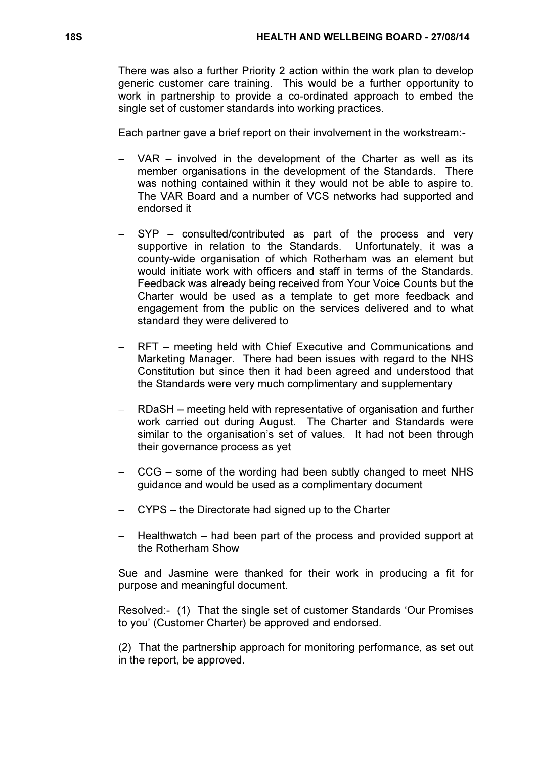There was also a further Priority 2 action within the work plan to develop generic customer care training. This would be a further opportunity to work in partnership to provide a co-ordinated approach to embed the single set of customer standards into working practices.

Each partner gave a brief report on their involvement in the workstream:-

- VAR involved in the development of the Charter as well as its member organisations in the development of the Standards. There was nothing contained within it they would not be able to aspire to. The VAR Board and a number of VCS networks had supported and endorsed it
- − SYP consulted/contributed as part of the process and very supportive in relation to the Standards. Unfortunately, it was a county-wide organisation of which Rotherham was an element but would initiate work with officers and staff in terms of the Standards. Feedback was already being received from Your Voice Counts but the Charter would be used as a template to get more feedback and engagement from the public on the services delivered and to what standard they were delivered to
- − RFT meeting held with Chief Executive and Communications and Marketing Manager. There had been issues with regard to the NHS Constitution but since then it had been agreed and understood that the Standards were very much complimentary and supplementary
- − RDaSH meeting held with representative of organisation and further work carried out during August. The Charter and Standards were similar to the organisation's set of values. It had not been through their governance process as yet
- − CCG some of the wording had been subtly changed to meet NHS guidance and would be used as a complimentary document
- − CYPS the Directorate had signed up to the Charter
- − Healthwatch had been part of the process and provided support at the Rotherham Show

Sue and Jasmine were thanked for their work in producing a fit for purpose and meaningful document.

Resolved:- (1) That the single set of customer Standards 'Our Promises to you' (Customer Charter) be approved and endorsed.

(2) That the partnership approach for monitoring performance, as set out in the report, be approved.